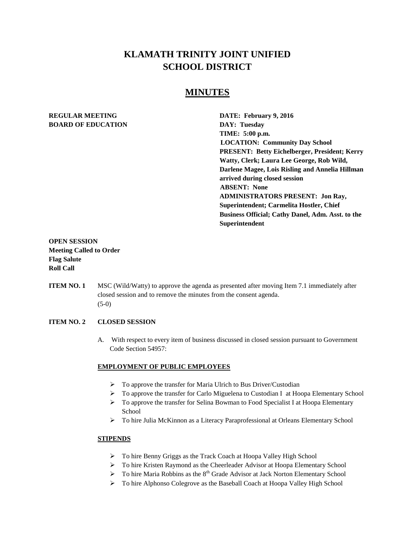# **KLAMATH TRINITY JOINT UNIFIED SCHOOL DISTRICT**

## **MINUTES**

## **REGULAR MEETING DATE: February 9, 2016 BOARD OF EDUCATION DAY: Tuesday**

**TIME: 5:00 p.m. LOCATION: Community Day School PRESENT: Betty Eichelberger, President; Kerry Watty, Clerk; Laura Lee George, Rob Wild, Darlene Magee, Lois Risling and Annelia Hillman arrived during closed session ABSENT: None ADMINISTRATORS PRESENT: Jon Ray, Superintendent; Carmelita Hostler, Chief Business Official; Cathy Danel, Adm. Asst. to the Superintendent**

## **OPEN SESSION Meeting Called to Order Flag Salute Roll Call**

**ITEM NO. 1** MSC (Wild/Watty) to approve the agenda as presented after moving Item 7.1 immediately after closed session and to remove the minutes from the consent agenda.  $(5-0)$ 

## **ITEM NO. 2 CLOSED SESSION**

A. With respect to every item of business discussed in closed session pursuant to Government Code Section 54957:

## **EMPLOYMENT OF PUBLIC EMPLOYEES**

- $\triangleright$  To approve the transfer for Maria Ulrich to Bus Driver/Custodian
- $\triangleright$  To approve the transfer for Carlo Miguelena to Custodian I at Hoopa Elementary School
- $\triangleright$  To approve the transfer for Selina Bowman to Food Specialist I at Hoopa Elementary School
- To hire Julia McKinnon as a Literacy Paraprofessional at Orleans Elementary School

## **STIPENDS**

- To hire Benny Griggs as the Track Coach at Hoopa Valley High School
- To hire Kristen Raymond as the Cheerleader Advisor at Hoopa Elementary School
- $\triangleright$  To hire Maria Robbins as the 8<sup>th</sup> Grade Advisor at Jack Norton Elementary School
- > To hire Alphonso Colegrove as the Baseball Coach at Hoopa Valley High School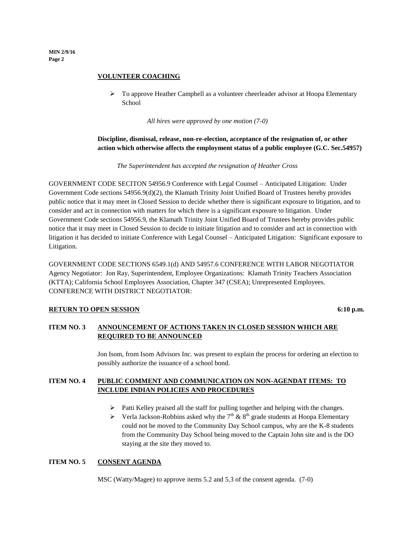**MIN 2/9/16 Page 2**

#### **VOLUNTEER COACHING**

 $\triangleright$  To approve Heather Campbell as a volunteer cheerleader advisor at Hoopa Elementary School

*All hires were approved by one motion (7-0)*

## **Discipline, dismissal, release, non-re-election, acceptance of the resignation of, or other action which otherwise affects the employment status of a public employee (G.C. Sec.54957)**

*The Superintendent has accepted the resignation of Heather Cross*

GOVERNMENT CODE SECITON 54956.9 Conference with Legal Counsel – Anticipated Litigation: Under Government Code sections 54956.9(d)(2), the Klamath Trinity Joint Unified Board of Trustees hereby provides public notice that it may meet in Closed Session to decide whether there is significant exposure to litigation, and to consider and act in connection with matters for which there is a significant exposure to litigation. Under Government Code sections 54956.9, the Klamath Trinity Joint Unified Board of Trustees hereby provides public notice that it may meet in Closed Session to decide to initiate litigation and to consider and act in connection with litigation it has decided to initiate Conference with Legal Counsel – Anticipated Litigation: Significant exposure to Litigation.

GOVERNMENT CODE SECTIONS 6549.1(d) AND 54957.6 CONFERENCE WITH LABOR NEGOTIATOR Agency Negotiator: Jon Ray, Superintendent, Employee Organizations: Klamath Trinity Teachers Association (KTTA); California School Employees Association, Chapter 347 (CSEA); Unrepresented Employees. CONFERENCE WITH DISTRICT NEGOTIATOR:

## **RETURN TO OPEN SESSION** 6:10 p.m.

## **ITEM NO. 3 ANNOUNCEMENT OF ACTIONS TAKEN IN CLOSED SESSION WHICH ARE REQUIRED TO BE ANNOUNCED**

Jon Isom, from Isom Advisors Inc. was present to explain the process for ordering an election to possibly authorize the issuance of a school bond.

## **ITEM NO. 4 PUBLIC COMMENT AND COMMUNICATION ON NON-AGENDAT ITEMS: TO INCLUDE INDIAN POLICIES AND PROCEDURES**

- $\triangleright$  Patti Kelley praised all the staff for pulling together and helping with the changes.
- $\triangleright$  Verla Jackson-Robbins asked why the 7<sup>th</sup> & 8<sup>th</sup> grade students at Hoopa Elementary could not be moved to the Community Day School campus, why are the K-8 students from the Community Day School being moved to the Captain John site and is the DO staying at the site they moved to.

## **ITEM NO. 5 CONSENT AGENDA**

MSC (Watty/Magee) to approve items 5.2 and 5.3 of the consent agenda. (7-0)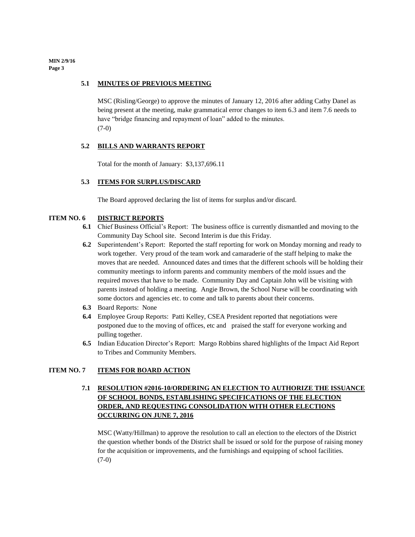**MIN 2/9/16 Page 3**

#### **5.1 MINUTES OF PREVIOUS MEETING**

MSC (Risling/George) to approve the minutes of January 12, 2016 after adding Cathy Danel as being present at the meeting, make grammatical error changes to item 6.3 and item 7.6 needs to have "bridge financing and repayment of loan" added to the minutes. (7-0)

#### **5.2 BILLS AND WARRANTS REPORT**

Total for the month of January: \$3,137,696.11

#### **5.3 ITEMS FOR SURPLUS/DISCARD**

The Board approved declaring the list of items for surplus and/or discard.

#### **ITEM NO. 6 DISTRICT REPORTS**

- **6.1** Chief Business Official's Report: The business office is currently dismantled and moving to the Community Day School site. Second Interim is due this Friday.
- **6.2** Superintendent's Report: Reported the staff reporting for work on Monday morning and ready to work together. Very proud of the team work and camaraderie of the staff helping to make the moves that are needed. Announced dates and times that the different schools will be holding their community meetings to inform parents and community members of the mold issues and the required moves that have to be made. Community Day and Captain John will be visiting with parents instead of holding a meeting. Angie Brown, the School Nurse will be coordinating with some doctors and agencies etc. to come and talk to parents about their concerns.
- **6.3** Board Reports: None
- **6.4** Employee Group Reports: Patti Kelley, CSEA President reported that negotiations were postponed due to the moving of offices, etc and praised the staff for everyone working and pulling together.
- **6.5** Indian Education Director's Report: Margo Robbins shared highlights of the Impact Aid Report to Tribes and Community Members.

#### **ITEM NO. 7 ITEMS FOR BOARD ACTION**

## **7.1 RESOLUTION #2016-10/ORDERING AN ELECTION TO AUTHORIZE THE ISSUANCE OF SCHOOL BONDS, ESTABLISHING SPECIFICATIONS OF THE ELECTION ORDER, AND REQUESTING CONSOLIDATION WITH OTHER ELECTIONS OCCURRING ON JUNE 7, 2016**

MSC (Watty/Hillman) to approve the resolution to call an election to the electors of the District the question whether bonds of the District shall be issued or sold for the purpose of raising money for the acquisition or improvements, and the furnishings and equipping of school facilities.  $(7-0)$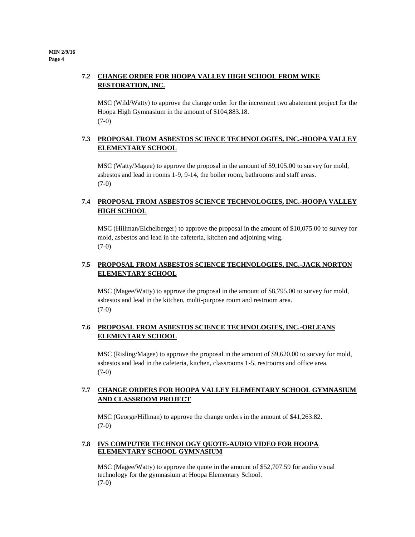## **7.2 CHANGE ORDER FOR HOOPA VALLEY HIGH SCHOOL FROM WIKE RESTORATION, INC.**

MSC (Wild/Watty) to approve the change order for the increment two abatement project for the Hoopa High Gymnasium in the amount of \$104,883.18. (7-0)

## **7.3 PROPOSAL FROM ASBESTOS SCIENCE TECHNOLOGIES, INC.-HOOPA VALLEY ELEMENTARY SCHOOL**

MSC (Watty/Magee) to approve the proposal in the amount of \$9,105.00 to survey for mold, asbestos and lead in rooms 1-9, 9-14, the boiler room, bathrooms and staff areas.  $(7-0)$ 

## **7.4 PROPOSAL FROM ASBESTOS SCIENCE TECHNOLOGIES, INC.-HOOPA VALLEY HIGH SCHOOL**

MSC (Hillman/Eichelberger) to approve the proposal in the amount of \$10,075.00 to survey for mold, asbestos and lead in the cafeteria, kitchen and adjoining wing. (7-0)

## **7.5 PROPOSAL FROM ASBESTOS SCIENCE TECHNOLOGIES, INC.-JACK NORTON ELEMENTARY SCHOOL**

MSC (Magee/Watty) to approve the proposal in the amount of \$8,795.00 to survey for mold, asbestos and lead in the kitchen, multi-purpose room and restroom area. (7-0)

## **7.6 PROPOSAL FROM ASBESTOS SCIENCE TECHNOLOGIES, INC.-ORLEANS ELEMENTARY SCHOOL**

MSC (Risling/Magee) to approve the proposal in the amount of \$9,620.00 to survey for mold, asbestos and lead in the cafeteria, kitchen, classrooms 1-5, restrooms and office area. (7-0)

## **7.7 CHANGE ORDERS FOR HOOPA VALLEY ELEMENTARY SCHOOL GYMNASIUM AND CLASSROOM PROJECT**

MSC (George/Hillman) to approve the change orders in the amount of \$41,263.82. (7-0)

## **7.8 IVS COMPUTER TECHNOLOGY QUOTE-AUDIO VIDEO FOR HOOPA ELEMENTARY SCHOOL GYMNASIUM**

MSC (Magee/Watty) to approve the quote in the amount of \$52,707.59 for audio visual technology for the gymnasium at Hoopa Elementary School. (7-0)